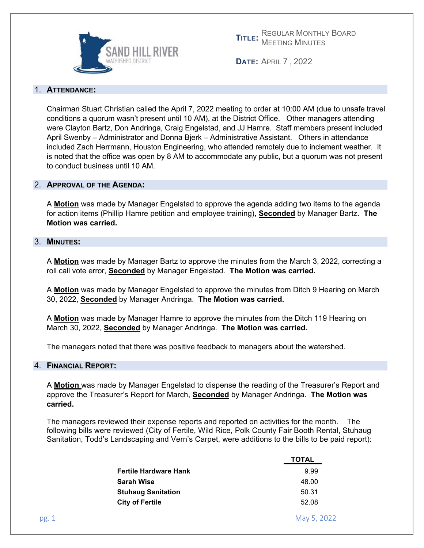

**DATE:** APRIL 7 , 2022

### 1. **ATTENDANCE:**

Chairman Stuart Christian called the April 7, 2022 meeting to order at 10:00 AM (due to unsafe travel conditions a quorum wasn't present until 10 AM), at the District Office. Other managers attending were Clayton Bartz, Don Andringa, Craig Engelstad, and JJ Hamre. Staff members present included April Swenby – Administrator and Donna Bjerk – Administrative Assistant. Others in attendance included Zach Herrmann, Houston Engineering, who attended remotely due to inclement weather. It is noted that the office was open by 8 AM to accommodate any public, but a quorum was not present to conduct business until 10 AM.

### 2. **APPROVAL OF THE AGENDA:**

A **Motion** was made by Manager Engelstad to approve the agenda adding two items to the agenda for action items (Phillip Hamre petition and employee training), **Seconded** by Manager Bartz. **The Motion was carried.** 

### 3. **MINUTES:**

A **Motion** was made by Manager Bartz to approve the minutes from the March 3, 2022, correcting a roll call vote error, **Seconded** by Manager Engelstad. **The Motion was carried.** 

A **Motion** was made by Manager Engelstad to approve the minutes from Ditch 9 Hearing on March 30, 2022, **Seconded** by Manager Andringa. **The Motion was carried.** 

A **Motion** was made by Manager Hamre to approve the minutes from the Ditch 119 Hearing on March 30, 2022, **Seconded** by Manager Andringa. **The Motion was carried.** 

The managers noted that there was positive feedback to managers about the watershed.

### 4. **FINANCIAL REPORT:**

A **Motion** was made by Manager Engelstad to dispense the reading of the Treasurer's Report and approve the Treasurer's Report for March, **Seconded** by Manager Andringa. **The Motion was carried.** 

The managers reviewed their expense reports and reported on activities for the month. The following bills were reviewed (City of Fertile, Wild Rice, Polk County Fair Booth Rental, Stuhaug Sanitation, Todd's Landscaping and Vern's Carpet, were additions to the bills to be paid report):

|       |                              | <b>TOTAL</b> |
|-------|------------------------------|--------------|
|       | <b>Fertile Hardware Hank</b> | 9.99         |
|       | <b>Sarah Wise</b>            | 48.00        |
|       | <b>Stuhaug Sanitation</b>    | 50.31        |
|       | <b>City of Fertile</b>       | 52.08        |
| pg. 1 |                              | May 5, 2022  |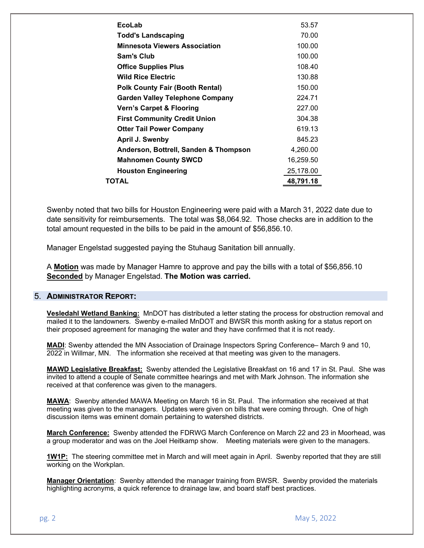| EcoLab                                 | 53.57     |
|----------------------------------------|-----------|
| <b>Todd's Landscaping</b>              | 70.00     |
| <b>Minnesota Viewers Association</b>   | 100.00    |
| Sam's Club                             | 100.00    |
| <b>Office Supplies Plus</b>            | 108.40    |
| <b>Wild Rice Electric</b>              | 130.88    |
| <b>Polk County Fair (Booth Rental)</b> | 150.00    |
| <b>Garden Valley Telephone Company</b> | 224.71    |
| <b>Vern's Carpet &amp; Flooring</b>    | 227.00    |
| <b>First Community Credit Union</b>    | 304.38    |
| <b>Otter Tail Power Company</b>        | 619.13    |
| April J. Swenby                        | 845.23    |
| Anderson, Bottrell, Sanden & Thompson  | 4,260.00  |
| <b>Mahnomen County SWCD</b>            | 16,259.50 |
| <b>Houston Engineering</b>             | 25,178.00 |
| ΤΟΤΑL                                  | 48,791.18 |
|                                        |           |

Swenby noted that two bills for Houston Engineering were paid with a March 31, 2022 date due to date sensitivity for reimbursements. The total was \$8,064.92. Those checks are in addition to the total amount requested in the bills to be paid in the amount of \$56,856.10.

Manager Engelstad suggested paying the Stuhaug Sanitation bill annually.

A **Motion** was made by Manager Hamre to approve and pay the bills with a total of \$56,856.10 **Seconded** by Manager Engelstad. **The Motion was carried.** 

#### 5. **ADMINISTRATOR REPORT:**

**Vesledahl Wetland Banking:** MnDOT has distributed a letter stating the process for obstruction removal and mailed it to the landowners. Swenby e-mailed MnDOT and BWSR this month asking for a status report on their proposed agreement for managing the water and they have confirmed that it is not ready.

**MADI**: Swenby attended the MN Association of Drainage Inspectors Spring Conference– March 9 and 10, 2022 in Willmar, MN. The information she received at that meeting was given to the managers.

**MAWD Legislative Breakfast:** Swenby attended the Legislative Breakfast on 16 and 17 in St. Paul. She was invited to attend a couple of Senate committee hearings and met with Mark Johnson. The information she received at that conference was given to the managers.

**MAWA**: Swenby attended MAWA Meeting on March 16 in St. Paul. The information she received at that meeting was given to the managers. Updates were given on bills that were coming through. One of high discussion items was eminent domain pertaining to watershed districts.

**March Conference:** Swenby attended the FDRWG March Conference on March 22 and 23 in Moorhead, was a group moderator and was on the Joel Heitkamp show. Meeting materials were given to the managers.

**1W1P:** The steering committee met in March and will meet again in April. Swenby reported that they are still working on the Workplan.

**Manager Orientation**: Swenby attended the manager training from BWSR. Swenby provided the materials highlighting acronyms, a quick reference to drainage law, and board staff best practices.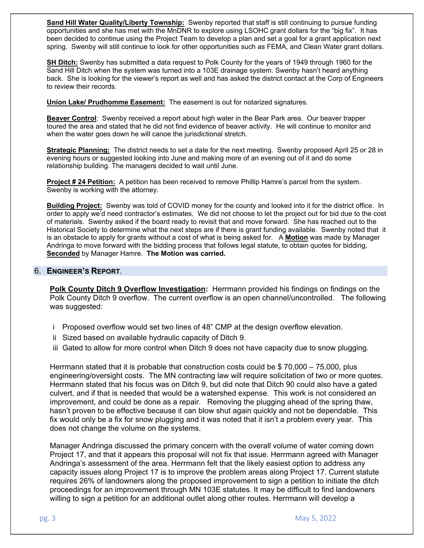**Sand Hill Water Quality/Liberty Township:** Swenby reported that staff is still continuing to pursue funding opportunities and she has met with the MnDNR to explore using LSOHC grant dollars for the "big fix". It has been decided to continue using the Project Team to develop a plan and set a goal for a grant application next spring. Swenby will still continue to look for other opportunities such as FEMA, and Clean Water grant dollars.

**SH Ditch:** Swenby has submitted a data request to Polk County for the years of 1949 through 1960 for the Sand Hill Ditch when the system was turned into a 103E drainage system. Swenby hasn't heard anything back. She is looking for the viewer's report as well and has asked the district contact at the Corp of Engineers to review their records.

**Union Lake/ Prudhomme Easement:** The easement is out for notarized signatures.

**Beaver Control**: Swenby received a report about high water in the Bear Park area. Our beaver trapper toured the area and stated that he did not find evidence of beaver activity. He will continue to monitor and when the water goes down he will canoe the jurisdictional stretch.

**Strategic Planning:** The district needs to set a date for the next meeting. Swenby proposed April 25 or 28 in evening hours or suggested looking into June and making more of an evening out of it and do some relationship building. The managers decided to wait until June.

**Project # 24 Petition:** A petition has been received to remove Phillip Hamre's parcel from the system. Swenby is working with the attorney.

**Building Project:** Swenby was told of COVID money for the county and looked into it for the district office. In order to apply we'd need contractor's estimates. We did not choose to let the project out for bid due to the cost of materials. Swenby asked if the board ready to revisit that and move forward. She has reached out to the Historical Society to determine what the next steps are if there is grant funding available. Swenby noted that it is an obstacle to apply for grants without a cost of what is being asked for. A **Motion** was made by Manager Andringa to move forward with the bidding process that follows legal statute, to obtain quotes for bidding, **Seconded** by Manager Hamre. **The Motion was carried.**

### 6. **ENGINEER'S REPORT***.*

**Polk County Ditch 9 Overflow Investigation:** Herrmann provided his findings on findings on the Polk County Ditch 9 overflow. The current overflow is an open channel/uncontrolled. The following was suggested:

- i Proposed overflow would set two lines of 48" CMP at the design overflow elevation.
- ii Sized based on available hydraulic capacity of Ditch 9.
- iii Gated to allow for more control when Ditch 9 does not have capacity due to snow plugging.

Herrmann stated that it is probable that construction costs could be \$70,000 – 75,000, plus engineering/oversight costs. The MN contracting law will require solicitation of two or more quotes. Herrmann stated that his focus was on Ditch 9, but did note that Ditch 90 could also have a gated culvert, and if that is needed that would be a watershed expense. This work is not considered an improvement, and could be done as a repair. Removing the plugging ahead of the spring thaw, hasn't proven to be effective because it can blow shut again quickly and not be dependable. This fix would only be a fix for snow plugging and it was noted that it isn't a problem every year. This does not change the volume on the systems.

Manager Andringa discussed the primary concern with the overall volume of water coming down Project 17, and that it appears this proposal will not fix that issue. Herrmann agreed with Manager Andringa's assessment of the area. Herrmann felt that the likely easiest option to address any capacity issues along Project 17 is to improve the problem areas along Project 17. Current statute requires 26% of landowners along the proposed improvement to sign a petition to initiate the ditch proceedings for an improvement through MN 103E statutes. It may be difficult to find landowners willing to sign a petition for an additional outlet along other routes. Herrmann will develop a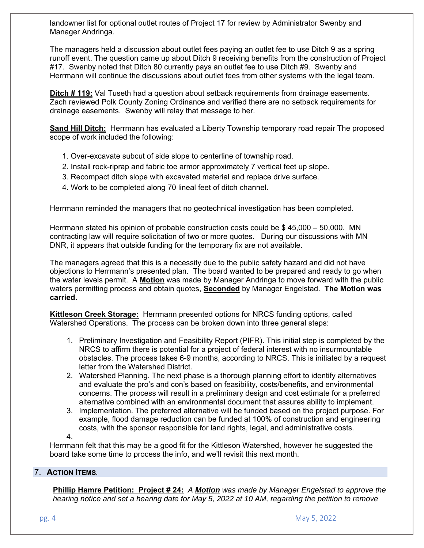landowner list for optional outlet routes of Project 17 for review by Administrator Swenby and Manager Andringa.

The managers held a discussion about outlet fees paying an outlet fee to use Ditch 9 as a spring runoff event. The question came up about Ditch 9 receiving benefits from the construction of Project #17. Swenby noted that Ditch 80 currently pays an outlet fee to use Ditch #9. Swenby and Herrmann will continue the discussions about outlet fees from other systems with the legal team.

**Ditch # 119:** Val Tuseth had a question about setback requirements from drainage easements. Zach reviewed Polk County Zoning Ordinance and verified there are no setback requirements for drainage easements. Swenby will relay that message to her.

**Sand Hill Ditch:** Herrmann has evaluated a Liberty Township temporary road repair The proposed scope of work included the following:

- 1. Over-excavate subcut of side slope to centerline of township road.
- 2. Install rock-riprap and fabric toe armor approximately 7 vertical feet up slope.
- 3. Recompact ditch slope with excavated material and replace drive surface.
- 4. Work to be completed along 70 lineal feet of ditch channel.

Herrmann reminded the managers that no geotechnical investigation has been completed.

Herrmann stated his opinion of probable construction costs could be \$ 45,000 – 50,000. MN contracting law will require solicitation of two or more quotes. During our discussions with MN DNR, it appears that outside funding for the temporary fix are not available.

The managers agreed that this is a necessity due to the public safety hazard and did not have objections to Herrmann's presented plan. The board wanted to be prepared and ready to go when the water levels permit. A **Motion** was made by Manager Andringa to move forward with the public waters permitting process and obtain quotes, **Seconded** by Manager Engelstad. **The Motion was carried.** 

**Kittleson Creek Storage:** Herrmann presented options for NRCS funding options, called Watershed Operations. The process can be broken down into three general steps:

- 1. Preliminary Investigation and Feasibility Report (PIFR). This initial step is completed by the NRCS to affirm there is potential for a project of federal interest with no insurmountable obstacles. The process takes 6-9 months, according to NRCS. This is initiated by a request letter from the Watershed District.
- 2. Watershed Planning. The next phase is a thorough planning effort to identify alternatives and evaluate the pro's and con's based on feasibility, costs/benefits, and environmental concerns. The process will result in a preliminary design and cost estimate for a preferred alternative combined with an environmental document that assures ability to implement.
- 3. Implementation. The preferred alternative will be funded based on the project purpose. For example, flood damage reduction can be funded at 100% of construction and engineering costs, with the sponsor responsible for land rights, legal, and administrative costs.

4.

Herrmann felt that this may be a good fit for the Kittleson Watershed, however he suggested the board take some time to process the info, and we'll revisit this next month.

# 7. **ACTION ITEMS***.*

**Phillip Hamre Petition: Project # 24:** *A Motion was made by Manager Engelstad to approve the hearing notice and set a hearing date for May 5, 2022 at 10 AM, regarding the petition to remove*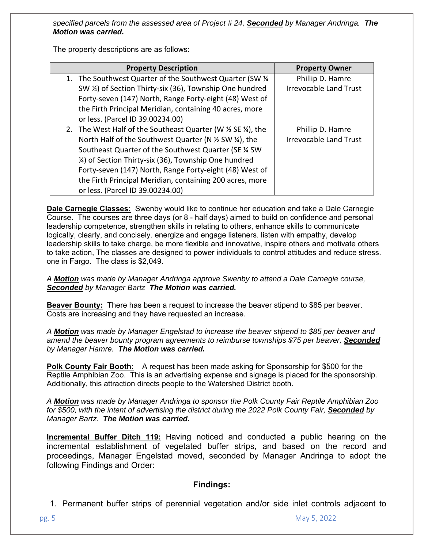*specified parcels from the assessed area of Project # 24, Seconded by Manager Andringa. The Motion was carried.* 

The property descriptions are as follows:

| <b>Property Description</b>                                | <b>Property Owner</b>         |
|------------------------------------------------------------|-------------------------------|
| 1. The Southwest Quarter of the Southwest Quarter (SW 1/4) | Phillip D. Hamre              |
| SW ¼) of Section Thirty-six (36), Township One hundred     | <b>Irrevocable Land Trust</b> |
| Forty-seven (147) North, Range Forty-eight (48) West of    |                               |
| the Firth Principal Meridian, containing 40 acres, more    |                               |
| or less. (Parcel ID 39.00234.00)                           |                               |
| 2. The West Half of the Southeast Quarter (W % SE %), the  | Phillip D. Hamre              |
| North Half of the Southwest Quarter (N % SW %), the        | <b>Irrevocable Land Trust</b> |
| Southeast Quarter of the Southwest Quarter (SE 1/4 SW      |                               |
| 1/4) of Section Thirty-six (36), Township One hundred      |                               |
| Forty-seven (147) North, Range Forty-eight (48) West of    |                               |
| the Firth Principal Meridian, containing 200 acres, more   |                               |
| or less. (Parcel ID 39.00234.00)                           |                               |

**Dale Carnegie Classes:** Swenby would like to continue her education and take a Dale Carnegie Course. The courses are three days (or 8 - half days) aimed to build on confidence and personal leadership competence, strengthen skills in relating to others, enhance skills to communicate logically, clearly, and concisely. energize and engage listeners. listen with empathy, develop leadership skills to take charge, be more flexible and innovative, inspire others and motivate others to take action, The classes are designed to power individuals to control attitudes and reduce stress. one in Fargo. The class is \$2,049.

*A Motion was made by Manager Andringa approve Swenby to attend a Dale Carnegie course, Seconded by Manager Bartz The Motion was carried.* 

**Beaver Bounty:** There has been a request to increase the beaver stipend to \$85 per beaver. Costs are increasing and they have requested an increase.

*A Motion was made by Manager Engelstad to increase the beaver stipend to \$85 per beaver and amend the beaver bounty program agreements to reimburse townships \$75 per beaver, Seconded by Manager Hamre. The Motion was carried.* 

**Polk County Fair Booth:** A request has been made asking for Sponsorship for \$500 for the Reptile Amphibian Zoo. This is an advertising expense and signage is placed for the sponsorship. Additionally, this attraction directs people to the Watershed District booth.

*A Motion was made by Manager Andringa to sponsor the Polk County Fair Reptile Amphibian Zoo for \$500, with the intent of advertising the district during the 2022 Polk County Fair, Seconded by Manager Bartz. The Motion was carried.* 

**Incremental Buffer Ditch 119:** Having noticed and conducted a public hearing on the incremental establishment of vegetated buffer strips, and based on the record and proceedings, Manager Engelstad moved, seconded by Manager Andringa to adopt the following Findings and Order:

# **Findings:**

1. Permanent buffer strips of perennial vegetation and/or side inlet controls adjacent to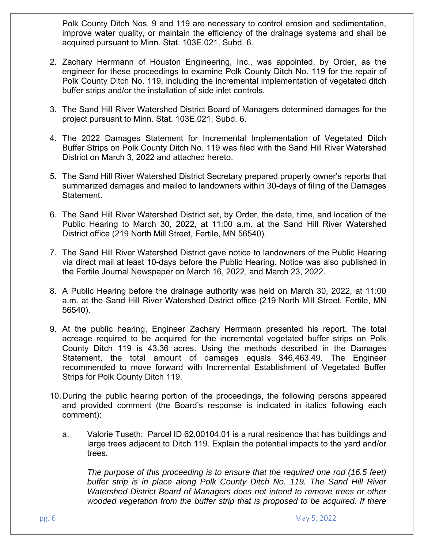Polk County Ditch Nos. 9 and 119 are necessary to control erosion and sedimentation, improve water quality, or maintain the efficiency of the drainage systems and shall be acquired pursuant to Minn. Stat. 103E.021, Subd. 6.

- 2. Zachary Herrmann of Houston Engineering, Inc., was appointed, by Order, as the engineer for these proceedings to examine Polk County Ditch No. 119 for the repair of Polk County Ditch No. 119, including the incremental implementation of vegetated ditch buffer strips and/or the installation of side inlet controls.
- 3. The Sand Hill River Watershed District Board of Managers determined damages for the project pursuant to Minn. Stat. 103E.021, Subd. 6.
- 4. The 2022 Damages Statement for Incremental Implementation of Vegetated Ditch Buffer Strips on Polk County Ditch No. 119 was filed with the Sand Hill River Watershed District on March 3, 2022 and attached hereto.
- 5. The Sand Hill River Watershed District Secretary prepared property owner's reports that summarized damages and mailed to landowners within 30-days of filing of the Damages Statement.
- 6. The Sand Hill River Watershed District set, by Order, the date, time, and location of the Public Hearing to March 30, 2022, at 11:00 a.m. at the Sand Hill River Watershed District office (219 North Mill Street, Fertile, MN 56540).
- 7. The Sand Hill River Watershed District gave notice to landowners of the Public Hearing via direct mail at least 10-days before the Public Hearing. Notice was also published in the Fertile Journal Newspaper on March 16, 2022, and March 23, 2022.
- 8. A Public Hearing before the drainage authority was held on March 30, 2022, at 11:00 a.m. at the Sand Hill River Watershed District office (219 North Mill Street, Fertile, MN 56540).
- 9. At the public hearing, Engineer Zachary Herrmann presented his report. The total acreage required to be acquired for the incremental vegetated buffer strips on Polk County Ditch 119 is 43.36 acres. Using the methods described in the Damages Statement, the total amount of damages equals \$46,463.49. The Engineer recommended to move forward with Incremental Establishment of Vegetated Buffer Strips for Polk County Ditch 119.
- 10. During the public hearing portion of the proceedings, the following persons appeared and provided comment (the Board's response is indicated in italics following each comment):
	- a. Valorie Tuseth: Parcel ID 62.00104.01 is a rural residence that has buildings and large trees adjacent to Ditch 119. Explain the potential impacts to the yard and/or trees.

*The purpose of this proceeding is to ensure that the required one rod (16.5 feet) buffer strip is in place along Polk County Ditch No. 119. The Sand Hill River Watershed District Board of Managers does not intend to remove trees or other wooded vegetation from the buffer strip that is proposed to be acquired. If there*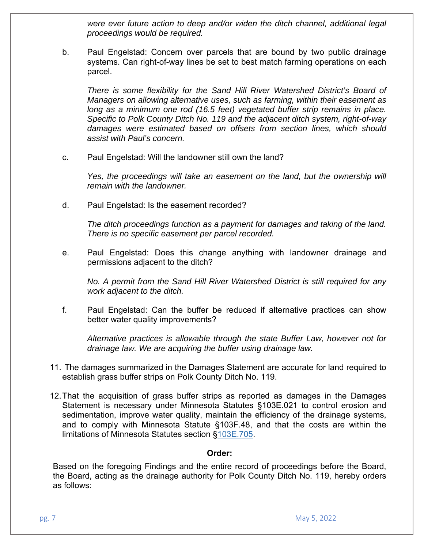*were ever future action to deep and/or widen the ditch channel, additional legal proceedings would be required.* 

b. Paul Engelstad: Concern over parcels that are bound by two public drainage systems. Can right-of-way lines be set to best match farming operations on each parcel.

*There is some flexibility for the Sand Hill River Watershed District's Board of Managers on allowing alternative uses, such as farming, within their easement as*  long as a minimum one rod (16.5 feet) vegetated buffer strip remains in place. *Specific to Polk County Ditch No. 119 and the adjacent ditch system, right-of-way damages were estimated based on offsets from section lines, which should assist with Paul's concern.* 

c. Paul Engelstad: Will the landowner still own the land?

*Yes, the proceedings will take an easement on the land, but the ownership will remain with the landowner.* 

d. Paul Engelstad: Is the easement recorded?

*The ditch proceedings function as a payment for damages and taking of the land. There is no specific easement per parcel recorded.* 

e. Paul Engelstad: Does this change anything with landowner drainage and permissions adjacent to the ditch?

*No. A permit from the Sand Hill River Watershed District is still required for any work adjacent to the ditch.* 

f. Paul Engelstad: Can the buffer be reduced if alternative practices can show better water quality improvements?

*Alternative practices is allowable through the state Buffer Law, however not for drainage law. We are acquiring the buffer using drainage law.* 

- 11. The damages summarized in the Damages Statement are accurate for land required to establish grass buffer strips on Polk County Ditch No. 119.
- 12. That the acquisition of grass buffer strips as reported as damages in the Damages Statement is necessary under Minnesota Statutes §103E.021 to control erosion and sedimentation, improve water quality, maintain the efficiency of the drainage systems, and to comply with Minnesota Statute §103F.48, and that the costs are within the limitations of Minnesota Statutes section §103E.705.

### **Order:**

Based on the foregoing Findings and the entire record of proceedings before the Board, the Board, acting as the drainage authority for Polk County Ditch No. 119, hereby orders as follows: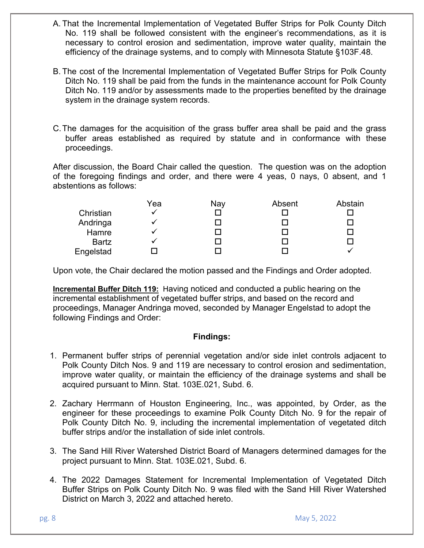- A. That the Incremental Implementation of Vegetated Buffer Strips for Polk County Ditch No. 119 shall be followed consistent with the engineer's recommendations, as it is necessary to control erosion and sedimentation, improve water quality, maintain the efficiency of the drainage systems, and to comply with Minnesota Statute §103F.48.
- B. The cost of the Incremental Implementation of Vegetated Buffer Strips for Polk County Ditch No. 119 shall be paid from the funds in the maintenance account for Polk County Ditch No. 119 and/or by assessments made to the properties benefited by the drainage system in the drainage system records.
- C. The damages for the acquisition of the grass buffer area shall be paid and the grass buffer areas established as required by statute and in conformance with these proceedings.

After discussion, the Board Chair called the question. The question was on the adoption of the foregoing findings and order, and there were 4 yeas, 0 nays, 0 absent, and 1 abstentions as follows:

|              | Yea | Nay | Absent | Abstain |
|--------------|-----|-----|--------|---------|
| Christian    |     |     |        |         |
| Andringa     |     |     |        |         |
| Hamre        |     |     |        |         |
| <b>Bartz</b> |     |     |        |         |
| Engelstad    |     |     |        |         |

Upon vote, the Chair declared the motion passed and the Findings and Order adopted.

**Incremental Buffer Ditch 119:** Having noticed and conducted a public hearing on the incremental establishment of vegetated buffer strips, and based on the record and proceedings, Manager Andringa moved, seconded by Manager Engelstad to adopt the following Findings and Order:

## **Findings:**

- 1. Permanent buffer strips of perennial vegetation and/or side inlet controls adjacent to Polk County Ditch Nos. 9 and 119 are necessary to control erosion and sedimentation, improve water quality, or maintain the efficiency of the drainage systems and shall be acquired pursuant to Minn. Stat. 103E.021, Subd. 6.
- 2. Zachary Herrmann of Houston Engineering, Inc., was appointed, by Order, as the engineer for these proceedings to examine Polk County Ditch No. 9 for the repair of Polk County Ditch No. 9, including the incremental implementation of vegetated ditch buffer strips and/or the installation of side inlet controls.
- 3. The Sand Hill River Watershed District Board of Managers determined damages for the project pursuant to Minn. Stat. 103E.021, Subd. 6.
- 4. The 2022 Damages Statement for Incremental Implementation of Vegetated Ditch Buffer Strips on Polk County Ditch No. 9 was filed with the Sand Hill River Watershed District on March 3, 2022 and attached hereto.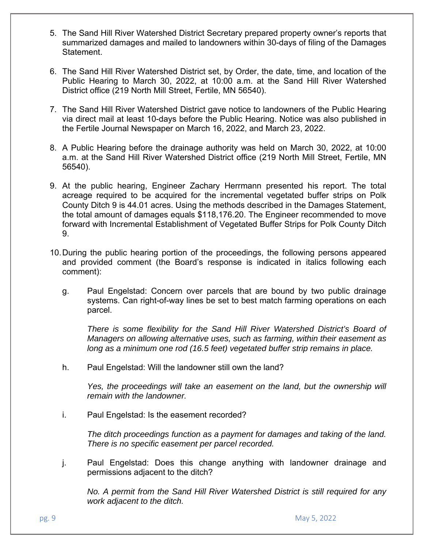- 5. The Sand Hill River Watershed District Secretary prepared property owner's reports that summarized damages and mailed to landowners within 30-days of filing of the Damages Statement.
- 6. The Sand Hill River Watershed District set, by Order, the date, time, and location of the Public Hearing to March 30, 2022, at 10:00 a.m. at the Sand Hill River Watershed District office (219 North Mill Street, Fertile, MN 56540).
- 7. The Sand Hill River Watershed District gave notice to landowners of the Public Hearing via direct mail at least 10-days before the Public Hearing. Notice was also published in the Fertile Journal Newspaper on March 16, 2022, and March 23, 2022.
- 8. A Public Hearing before the drainage authority was held on March 30, 2022, at 10:00 a.m. at the Sand Hill River Watershed District office (219 North Mill Street, Fertile, MN 56540).
- 9. At the public hearing, Engineer Zachary Herrmann presented his report. The total acreage required to be acquired for the incremental vegetated buffer strips on Polk County Ditch 9 is 44.01 acres. Using the methods described in the Damages Statement, the total amount of damages equals \$118,176.20. The Engineer recommended to move forward with Incremental Establishment of Vegetated Buffer Strips for Polk County Ditch 9.
- 10. During the public hearing portion of the proceedings, the following persons appeared and provided comment (the Board's response is indicated in italics following each comment):
	- g. Paul Engelstad: Concern over parcels that are bound by two public drainage systems. Can right-of-way lines be set to best match farming operations on each parcel.

*There is some flexibility for the Sand Hill River Watershed District's Board of Managers on allowing alternative uses, such as farming, within their easement as long as a minimum one rod (16.5 feet) vegetated buffer strip remains in place.* 

h. Paul Engelstad: Will the landowner still own the land?

*Yes, the proceedings will take an easement on the land, but the ownership will remain with the landowner.* 

i. Paul Engelstad: Is the easement recorded?

*The ditch proceedings function as a payment for damages and taking of the land. There is no specific easement per parcel recorded.* 

j. Paul Engelstad: Does this change anything with landowner drainage and permissions adjacent to the ditch?

*No. A permit from the Sand Hill River Watershed District is still required for any work adjacent to the ditch.*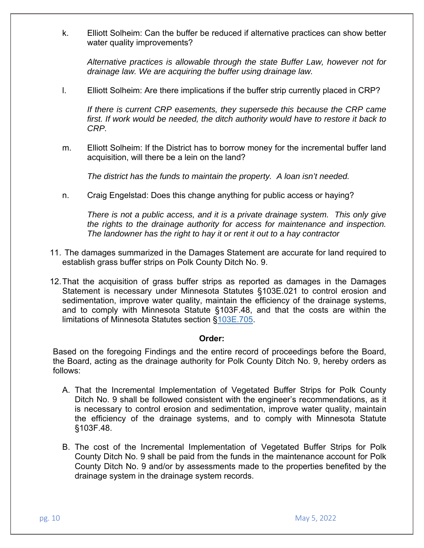k. Elliott Solheim: Can the buffer be reduced if alternative practices can show better water quality improvements?

*Alternative practices is allowable through the state Buffer Law, however not for drainage law. We are acquiring the buffer using drainage law.* 

l. Elliott Solheim: Are there implications if the buffer strip currently placed in CRP?

*If there is current CRP easements, they supersede this because the CRP came first. If work would be needed, the ditch authority would have to restore it back to CRP.* 

m. Elliott Solheim: If the District has to borrow money for the incremental buffer land acquisition, will there be a lein on the land?

*The district has the funds to maintain the property. A loan isn't needed.* 

n. Craig Engelstad: Does this change anything for public access or haying?

*There is not a public access, and it is a private drainage system. This only give the rights to the drainage authority for access for maintenance and inspection. The landowner has the right to hay it or rent it out to a hay contractor* 

- 11. The damages summarized in the Damages Statement are accurate for land required to establish grass buffer strips on Polk County Ditch No. 9.
- 12. That the acquisition of grass buffer strips as reported as damages in the Damages Statement is necessary under Minnesota Statutes §103E.021 to control erosion and sedimentation, improve water quality, maintain the efficiency of the drainage systems, and to comply with Minnesota Statute §103F.48, and that the costs are within the limitations of Minnesota Statutes section §103E.705.

### **Order:**

Based on the foregoing Findings and the entire record of proceedings before the Board, the Board, acting as the drainage authority for Polk County Ditch No. 9, hereby orders as follows:

- A. That the Incremental Implementation of Vegetated Buffer Strips for Polk County Ditch No. 9 shall be followed consistent with the engineer's recommendations, as it is necessary to control erosion and sedimentation, improve water quality, maintain the efficiency of the drainage systems, and to comply with Minnesota Statute §103F.48.
- B. The cost of the Incremental Implementation of Vegetated Buffer Strips for Polk County Ditch No. 9 shall be paid from the funds in the maintenance account for Polk County Ditch No. 9 and/or by assessments made to the properties benefited by the drainage system in the drainage system records.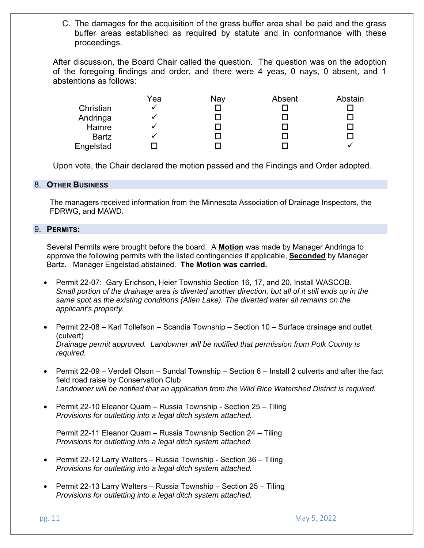C. The damages for the acquisition of the grass buffer area shall be paid and the grass buffer areas established as required by statute and in conformance with these proceedings.

After discussion, the Board Chair called the question. The question was on the adoption of the foregoing findings and order, and there were 4 yeas, 0 nays, 0 absent, and 1 abstentions as follows:

|              | Yea | Nay | Absent | Abstain |
|--------------|-----|-----|--------|---------|
| Christian    |     |     |        |         |
| Andringa     |     |     |        |         |
| Hamre        |     |     |        |         |
| <b>Bartz</b> |     |     |        |         |
| Engelstad    |     |     |        |         |

Upon vote, the Chair declared the motion passed and the Findings and Order adopted.

### 8. **OTHER BUSINESS**

The managers received information from the Minnesota Association of Drainage Inspectors, the FDRWG, and MAWD.

### 9. **PERMITS:**

Several Permits were brought before the board. A **Motion** was made by Manager Andringa to approve the following permits with the listed contingencies if applicable, **Seconded** by Manager Bartz. Manager Engelstad abstained. **The Motion was carried.** 

- Permit 22-07: Gary Erichson, Heier Township Section 16, 17, and 20, Install WASCOB. *Small portion of the drainage area is diverted another direction, but all of it still ends up in the same spot as the existing conditions (Allen Lake). The diverted water all remains on the applicant's property.*
- Permit 22-08 Karl Tollefson Scandia Township Section 10 Surface drainage and outlet (culvert) *Drainage permit approved. Landowner will be notified that permission from Polk County is required.*
- Permit 22-09 Verdell Olson Sundal Township Section 6 Install 2 culverts and after the fact field road raise by Conservation Club *Landowner will be notified that an application from the Wild Rice Watershed District is required.*
- Permit 22-10 Eleanor Quam Russia Township Section 25 Tiling *Provisions for outletting into a legal ditch system attached.*

Permit 22-11 Eleanor Quam – Russia Township Section 24 – Tiling *Provisions for outletting into a legal ditch system attached.* 

- Permit 22-12 Larry Walters Russia Township Section 36 Tiling *Provisions for outletting into a legal ditch system attached.*
- Permit 22-13 Larry Walters Russia Township Section 25 Tiling *Provisions for outletting into a legal ditch system attached.*